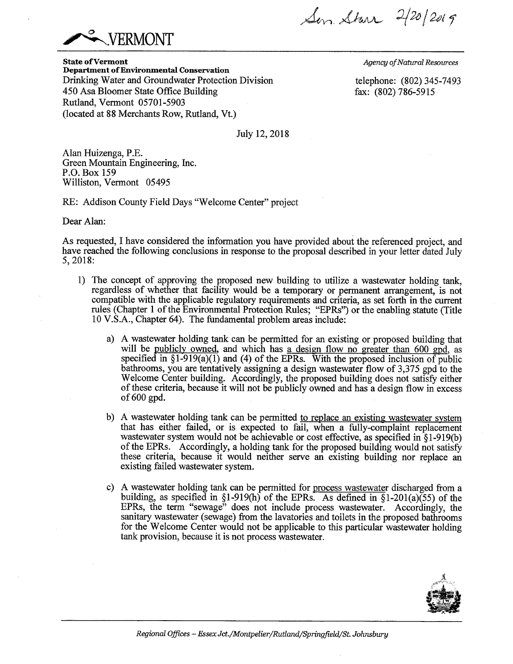Son Starr 2/20/2019



**State of Vermont Department of Environmental Conservation**  Drinking Water and Groundwater Protection Division 450 Asa Bloomer State Office Building Rutland, Vermont 05701-5903 (located at 88 Merchants Row, Rutland, Vt.)

*Agency of Natural Resources* 

telephone: (802) 345-7493 fax: (802) 786-5915

July 12, 2018

Alan Huizenga, P.E. Green Mountain Engineering, Inc. P.O. Box 159 Williston, Vermont 05495

RE: Addison County Field Days "Welcome Center" project

Dear Alan:

As requested, I have considered the information you have provided about the referenced project, and have reached the following conclusions in response to the proposal described in your letter dated July 5,2018:

- 1) The concept of approving the proposed new building to utilize a wastewater holding tank, regardless of whether that facility would be a temporary or permanent arrangement, is not compatible with the applicable regulatory requirements and criteria, as set forth in the current rules (Chapter 1 of the Environmental Protection Rules; "EPRs") or the enabling statute (Title 10 V.S.A., Chapter 64). The fundamental problem areas include:
	- a) A wastewater holding tank can be permitted for an existing or proposed building that will be publicly owned, and which has a design flow no greater than 600 gpd, as specified in  $\S1-919(a)(1)$  and (4) of the EPRs. With the proposed inclusion of public bathrooms, you are tentatively assigning a design wastewater flow of 3,375 gpd to the Welcome Center building. Accordingly, the proposed building does not satisfy either of these criteria, because it will not be publicly owned and has a design flow in excess of 600 gpd.
	- b) A wastewater holding tank can be permitted to replace an existing wastewater system that has either failed, or is expected to fail, when a fully-complaint replacement wastewater system would not be achievable or cost effective, as specified in §1-919(b) of the EPRs. Accordingly, a holding tank for the proposed building would not satisfy these criteria, because it would neither serve an existing building nor replace an existing failed wastewater system.
	- c) A wastewater holding tank can be permitted for process wastewater discharged from a building, as specified in  $\S1-919(h)$  of the EPRs. As defined in  $\S1-201(a)(55)$  of the EPRs, the term "sewage" does not include process wastewater. Accordingly, the sanitary wastewater (sewage) from the lavatories and toilets in the proposed bathrooms for the Welcome Center would not be applicable to this particular wastewater holding tank provision, because it is not process wastewater.